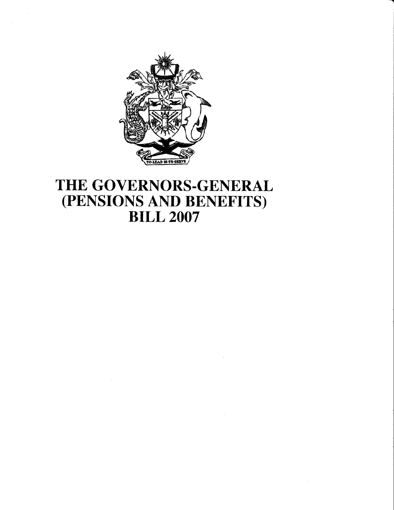

# THE GOVERNORS-GENERAL (PENSIONS AND BENEFITS) BILL 2OO7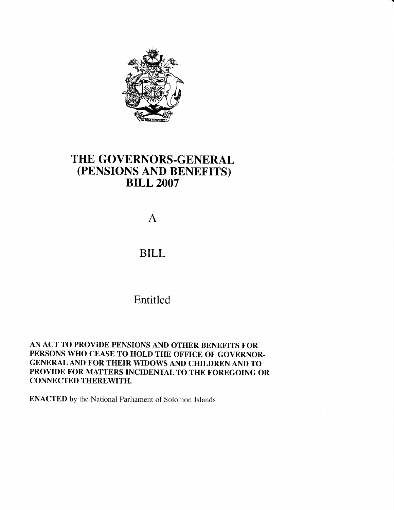

## THE GOVERNORS-GENERAL (PENSIONS AND BENEFITS) BILL 2OO7

A

### BILL

## Entitled

AN ACT TO PROVIDE PENSIONS AND OTHER BENEFITS FOR PERSONS WHO CEASE TO HOLD THE OFFICE OF GOVERNOR-GENERAL AND FOR THEIR WIDOWS AND CHILDREN AND TO PROVIDE FOR MATTERS INCIDENTAL TO THE FOREGOING OR CONNECTED THEREWITH.

ENACTED by the National Parliament of Solomon Islands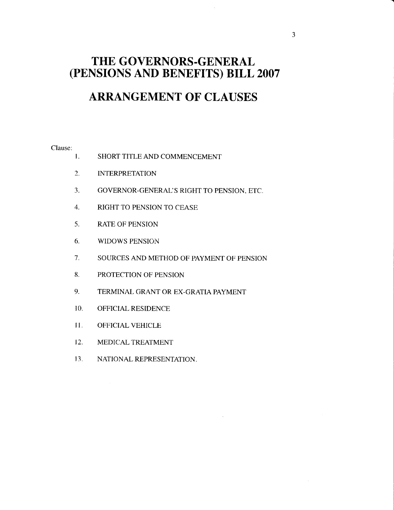### THE GOVERNORS-GENERAL (PENSIONS AND BENEFITS) BILL 2007

# ARRANGEMENT OF CLAUSES

#### Clause:

- I. SHORT TITLE AND COMMENCEMENT
- 2. INTERPRETATION
- 3. GOVERNOR-GENERAL'S RIGHT TO PENSION, ETC.
- 4. RIGHT TO PENSION TO CEASE
- 5. RATE OF PENSION
- 6. WIDOWS PENSION
- 7. SOURCES AND METHOD OF PAYMENT OF PENSION
- 8. PROTECTION OF PENSION
- 9. TERMINAL GRANT OR EX-GRATIA PAYMENT
- IO. OFFICIAL RESIDENCE
- 11. OFFICIAL VEHICLE
- 12. MEDICAL TREATMENT
- 13. NATIONAL REPRESENTATION.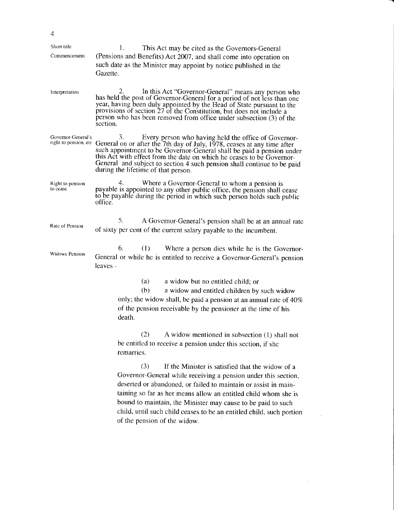| $\overline{4}$               |                                                                                                                                                                                                                                                                                                                                                                                                                                  |
|------------------------------|----------------------------------------------------------------------------------------------------------------------------------------------------------------------------------------------------------------------------------------------------------------------------------------------------------------------------------------------------------------------------------------------------------------------------------|
| Short title<br>Commencement  | This Act may be cited as the Governors-General<br>(Pensions and Benefits) Act 2007, and shall come into operation on<br>such date as the Minister may appoint by notice published in the<br>Gazette.                                                                                                                                                                                                                             |
| Interpretation               | In this Act "Governor-General" means any person who<br>has held the post of Governor-General for a period of not less than one<br>year, having been duly appointed by the Head of State pursuant to the<br>provisions of section 27 of the Constitution, but does not include a<br>person who has been removed from office under subsection (3) of the<br>section.                                                               |
| Governor-General's           | 3.<br>Every person who having held the office of Governor-<br>right to pension, etc. General on or after the 7th day of July, 1978, ceases at any time after<br>such appointment to be Governor-General shall be paid a pension under<br>this Act with effect from the date on which he ceases to be Governor-<br>General and subject to section 4 such pension shall continue to be paid<br>during the lifetime of that person. |
| Right to pension<br>to cease | 4.<br>Where a Governor-General to whom a pension is<br>payable is appointed to any other public office, the pension shall cease to be payable during the period in which such person holds such public<br>office.                                                                                                                                                                                                                |
| Rate of Pension              | 5.<br>A Governor-General's pension shall be at an annual rate<br>of sixty per cent of the current salary payable to the incumbent.                                                                                                                                                                                                                                                                                               |
| <b>Widows Pension</b>        | 6.<br>(1) Where a person dies while he is the Governor-<br>General or while he is entitled to receive a Governor-General's pension<br>leaves -                                                                                                                                                                                                                                                                                   |
|                              | (a)<br>a widow but no entitled child; or<br>(b)<br>a widow and entitled children by such widow<br>only; the widow shall, be paid a pension at an annual rate of 40%<br>of the pension receivable by the pensioner at the time of his<br>death.                                                                                                                                                                                   |
|                              | (2)<br>A widow mentioned in subsection (1) shall not<br>be entitled to receive a pension under this section, if she<br>remarries.                                                                                                                                                                                                                                                                                                |
|                              | (3)<br>If the Minister is satisfied that the widow of a<br>Governor-General while receiving a pension under this section,<br>deserted or abandoned, or failed to maintain or assist in main-<br>taining so far as her means allow an entitled child whom she is<br>bound to maintain, the Minister may cause to be paid to such<br>child, until such child ceases to be an entitled child, such portion                          |

of the pension of the widow.

 $\frac{1}{2}$  ,  $\frac{1}{2}$ 

 $\sim$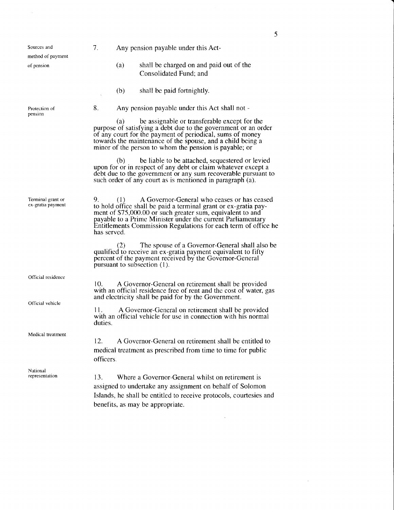| Sources and<br>method of payment       | 7.                                                                                                                                                                                                                                                                                                                                        | Any pension payable under this Act- |                                                                                                                                                                                                                                                                                                     |  |
|----------------------------------------|-------------------------------------------------------------------------------------------------------------------------------------------------------------------------------------------------------------------------------------------------------------------------------------------------------------------------------------------|-------------------------------------|-----------------------------------------------------------------------------------------------------------------------------------------------------------------------------------------------------------------------------------------------------------------------------------------------------|--|
| of pension                             |                                                                                                                                                                                                                                                                                                                                           | (a)                                 | shall be charged on and paid out of the<br>Consolidated Fund; and                                                                                                                                                                                                                                   |  |
|                                        |                                                                                                                                                                                                                                                                                                                                           | (b)                                 | shall be paid fortnightly.                                                                                                                                                                                                                                                                          |  |
| Protection of<br>pension               | 8.                                                                                                                                                                                                                                                                                                                                        |                                     | Any pension payable under this Act shall not -                                                                                                                                                                                                                                                      |  |
|                                        |                                                                                                                                                                                                                                                                                                                                           | (a)                                 | be assignable or transferable except for the<br>purpose of satisfying a debt due to the government or an order<br>of any court for the payment of periodical, sums of money<br>towards the maintenance of the spouse, and a child being a<br>minor of the person to whom the pension is payable; or |  |
|                                        |                                                                                                                                                                                                                                                                                                                                           | (b)                                 | be liable to be attached, sequestered or levied<br>upon for or in respect of any debt or claim whatever except a<br>debt due to the government or any sum recoverable pursuant to<br>such order of any court as is mentioned in paragraph (a).                                                      |  |
| Terminal grant or<br>ex-gratia payment | A Governor-General who ceases or has ceased<br>9.<br>(1)<br>to hold office shall be paid a terminal grant or ex-gratia pay-<br>ment of \$75,000.00 or such greater sum, equivalent to and<br>payable to a Prime Minister under the current Parliamentary<br>Entitlements Commission Regulations for each term of office he<br>has served. |                                     |                                                                                                                                                                                                                                                                                                     |  |
|                                        |                                                                                                                                                                                                                                                                                                                                           | (Z)                                 | The spouse of a Governor-General shall also be<br>qualified to receive an ex-gratia payment equivalent to fifty<br>percent of the payment received by the Governor-General<br>pursuant to subsection (1).                                                                                           |  |
| Official residence                     | 10.                                                                                                                                                                                                                                                                                                                                       |                                     | A Governor-General on retirement shall be provided<br>with an official residence free of rent and the cost of water, gas<br>and electricity shall be paid for by the Government.                                                                                                                    |  |
| Official vehicle                       | 11.<br>duties.                                                                                                                                                                                                                                                                                                                            |                                     | A Governor-General on retirement shall be provided<br>with an official vehicle for use in connection with his normal                                                                                                                                                                                |  |
| Medical treatment                      | 12.<br>officers.                                                                                                                                                                                                                                                                                                                          |                                     | A Governor-General on retirement shall be entitled to<br>medical treatment as prescribed from time to time for public                                                                                                                                                                               |  |
| National<br>representation             | 13.                                                                                                                                                                                                                                                                                                                                       |                                     | Where a Governor-General whilst on retirement is<br>assigned to undertake any assignment on behalf of Solomon<br>Islands, he shall be entitled to receive protocols, courtesies and<br>benefits, as may be appropriate.                                                                             |  |

 $\label{eq:2.1} \frac{1}{\sqrt{2}}\int_{\mathbb{R}^3}\frac{1}{\sqrt{2}}\left(\frac{1}{\sqrt{2}}\right)^2\frac{1}{\sqrt{2}}\left(\frac{1}{\sqrt{2}}\right)^2\frac{1}{\sqrt{2}}\left(\frac{1}{\sqrt{2}}\right)^2\frac{1}{\sqrt{2}}\left(\frac{1}{\sqrt{2}}\right)^2.$ 

 $\label{eq:2.1} \frac{1}{\sqrt{2}}\int_{\mathbb{R}^3}\frac{1}{\sqrt{2}}\left(\frac{1}{\sqrt{2}}\right)^2\frac{1}{\sqrt{2}}\left(\frac{1}{\sqrt{2}}\right)^2\frac{1}{\sqrt{2}}\left(\frac{1}{\sqrt{2}}\right)^2\frac{1}{\sqrt{2}}\left(\frac{1}{\sqrt{2}}\right)^2.$ 

 $5<sup>5</sup>$